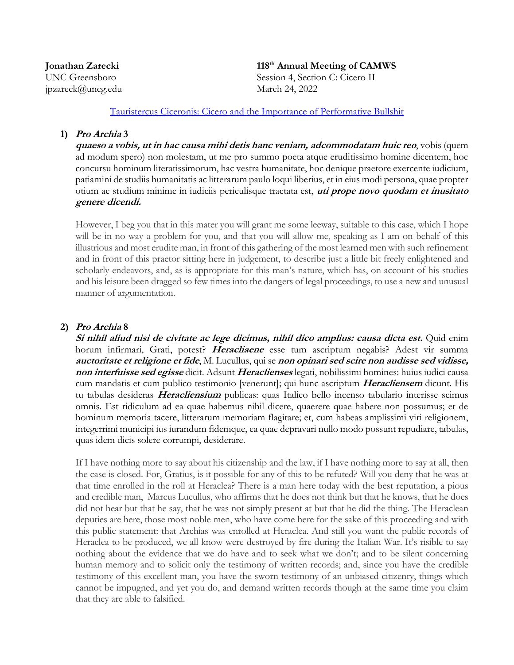**Jonathan Zarecki** jpzareck@uncg.edu March 24, 2022

**th Annual Meeting of CAMWS** UNC Greensboro Session 4, Section C: Cicero II

[Tauristercus Ciceronis: Cicero and the Importance of Performative Bullshit](https://camws.org/sites/default/files/meeting2022/2655CiceroPerformativeBullshit.pdf)

#### **1) Pro Archia 3**

**quaeso a vobis, ut in hac causa mihi detis hanc veniam, adcommodatam huic reo**, vobis (quem ad modum spero) non molestam, ut me pro summo poeta atque eruditissimo homine dicentem, hoc concursu hominum literatissimorum, hac vestra humanitate, hoc denique praetore exercente iudicium, patiamini de studiis humanitatis ac litterarum paulo loqui liberius, et in eius modi persona, quae propter otium ac studium minime in iudiciis periculisque tractata est, **uti prope novo quodam et inusitato genere dicendi.**

However, I beg you that in this mater you will grant me some leeway, suitable to this case, which I hope will be in no way a problem for you, and that you will allow me, speaking as I am on behalf of this illustrious and most erudite man, in front of this gathering of the most learned men with such refinement and in front of this praetor sitting here in judgement, to describe just a little bit freely enlightened and scholarly endeavors, and, as is appropriate for this man's nature, which has, on account of his studies and his leisure been dragged so few times into the dangers of legal proceedings, to use a new and unusual manner of argumentation.

# **2) Pro Archia 8**

**Si nihil aliud nisi de civitate ac lege dicimus, nihil dico amplius: causa dicta est.** Quid enim horum infirmari, Grati, potest? **Heracliaene** esse tum ascriptum negabis? Adest vir summa **auctoritate et religione et fide**, M. Lucullus, qui se **non opinari sed scire non audisse sed vidisse, non interfuisse sed egisse** dicit. Adsunt **Heraclienses** legati, nobilissimi homines: huius iudici causa cum mandatis et cum publico testimonio [venerunt]; qui hunc ascriptum **Heracliensem** dicunt. His tu tabulas desideras **Heracliensium** publicas: quas Italico bello incenso tabulario interisse scimus omnis. Est ridiculum ad ea quae habemus nihil dicere, quaerere quae habere non possumus; et de hominum memoria tacere, litterarum memoriam flagitare; et, cum habeas amplissimi viri religionem, integerrimi municipi ius iurandum fidemque, ea quae depravari nullo modo possunt repudiare, tabulas, quas idem dicis solere corrumpi, desiderare.

If I have nothing more to say about his citizenship and the law, if I have nothing more to say at all, then the case is closed. For, Gratius, is it possible for any of this to be refuted? Will you deny that he was at that time enrolled in the roll at Heraclea? There is a man here today with the best reputation, a pious and credible man, Marcus Lucullus, who affirms that he does not think but that he knows, that he does did not hear but that he say, that he was not simply present at but that he did the thing. The Heraclean deputies are here, those most noble men, who have come here for the sake of this proceeding and with this public statement: that Archias was enrolled at Heraclea. And still you want the public records of Heraclea to be produced, we all know were destroyed by fire during the Italian War. It's risible to say nothing about the evidence that we do have and to seek what we don't; and to be silent concerning human memory and to solicit only the testimony of written records; and, since you have the credible testimony of this excellent man, you have the sworn testimony of an unbiased citizenry, things which cannot be impugned, and yet you do, and demand written records though at the same time you claim that they are able to falsified.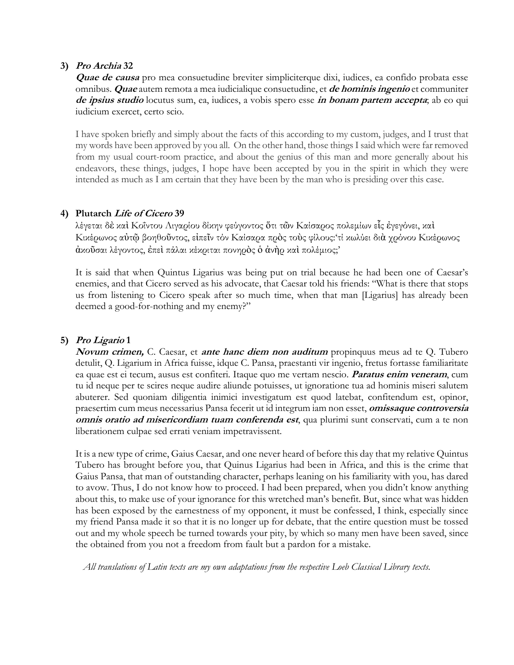# **3) Pro Archia 32**

**Quae de causa** pro mea consuetudine breviter simpliciterque dixi, iudices, ea confido probata esse omnibus. **Quae** autem remota a mea iudicialique consuetudine, et **de hominis ingenio** et communiter **de ipsius studio** locutus sum, ea, iudices, a vobis spero esse **in bonam partem accepta**; ab eo qui iudicium exercet, certo scio.

I have spoken briefly and simply about the facts of this according to my custom, judges, and I trust that my words have been approved by you all. On the other hand, those things I said which were far removed from my usual court-room practice, and about the genius of this man and more generally about his endeavors, these things, judges, I hope have been accepted by you in the spirit in which they were intended as much as I am certain that they have been by the man who is presiding over this case.

# **4) Plutarch Life of Cicero 39**

λέγεται [δ](https://www.perseus.tufts.edu/hopper/morph?l=de%5C&la=greek&can=de%5C4&prior=le/getai)ὲ [κα](https://www.perseus.tufts.edu/hopper/morph?l=kai%5C&la=greek&can=kai%5C17&prior=de/)ὶ [Κοΐντου](https://www.perseus.tufts.edu/hopper/morph?l=*koi%2B%2Fntou&la=greek&can=*koi%2B%2Fntou0&prior=kai/) [Λιγαρίου](https://www.perseus.tufts.edu/hopper/morph?l=*ligari%2Fou&la=greek&can=*ligari%2Fou0&prior=*koi+/ntou) [δίκην](https://www.perseus.tufts.edu/hopper/morph?l=di%2Fkhn&la=greek&can=di%2Fkhn0&prior=*ligari/ou) [φεύγοντος](https://www.perseus.tufts.edu/hopper/morph?l=feu%2Fgontos&la=greek&can=feu%2Fgontos0&prior=di/khn) ὅ[τι](https://www.perseus.tufts.edu/hopper/morph?l=o%28%2Fti&la=greek&can=o%28%2Fti0&prior=feu/gontos) τ[ῶ](https://www.perseus.tufts.edu/hopper/morph?l=tw%3Dn&la=greek&can=tw%3Dn2&prior=o(/ti)ν [Καίσαρος](https://www.perseus.tufts.edu/hopper/morph?l=*kai%2Fsaros&la=greek&can=*kai%2Fsaros1&prior=tw=n) [πολεμίων](https://www.perseus.tufts.edu/hopper/morph?l=polemi%2Fwn&la=greek&can=polemi%2Fwn0&prior=*kai/saros) [ε](https://www.perseus.tufts.edu/hopper/morph?l=ei%28%3Ds&la=greek&can=ei%28%3Ds3&prior=polemi/wn)ἷς ἐ[γεγόνει](https://www.perseus.tufts.edu/hopper/morph?l=e%29gego%2Fnei&la=greek&can=e%29gego%2Fnei0&prior=ei(=s), [κα](https://www.perseus.tufts.edu/hopper/morph?l=kai%5C&la=greek&can=kai%5C18&prior=e)gego/nei)ὶ [Κικέρωνος](https://www.perseus.tufts.edu/hopper/morph?l=*kike%2Frwnos&la=greek&can=*kike%2Frwnos1&prior=kai/) αὐτ[ῷ](https://www.perseus.tufts.edu/hopper/morph?l=au%29tw%3D%7C&la=greek&can=au%29tw%3D%7C1&prior=*kike/rwnos) [βοηθο](https://www.perseus.tufts.edu/hopper/morph?l=bohqou%3Dntos&la=greek&can=bohqou%3Dntos0&prior=au)tw=|)ῦντος, εἰ[πε](https://www.perseus.tufts.edu/hopper/morph?l=ei%29pei%3Dn&la=greek&can=ei%29pei%3Dn1&prior=bohqou=ntos)ῖν [τόν](https://www.perseus.tufts.edu/hopper/morph?l=to%2Fn&la=greek&can=to%2Fn2&prior=ei)pei=n) [Καίσαρα](https://www.perseus.tufts.edu/hopper/morph?l=*kai%2Fsara&la=greek&can=*kai%2Fsara1&prior=to/n) [πρ](https://www.perseus.tufts.edu/hopper/morph?l=pro%5Cs&la=greek&can=pro%5Cs1&prior=*kai/sara)ὸς [το](https://www.perseus.tufts.edu/hopper/morph?l=tou%5Cs&la=greek&can=tou%5Cs0&prior=pro/s)ὺς [φίλoυς:](https://www.perseus.tufts.edu/hopper/morph?l=fi%2Flous&la=greek&can=fi%2Flous0&prior=tou/s)['τί](https://www.perseus.tufts.edu/hopper/morph?l=ti%2F&la=greek&can=ti%2F0&prior=fi/lous) [κωλύει](https://www.perseus.tufts.edu/hopper/morph?l=kwlu%2Fei&la=greek&can=kwlu%2Fei0&prior=ti/) [δι](https://www.perseus.tufts.edu/hopper/morph?l=dia%5C&la=greek&can=dia%5C1&prior=kwlu/ei)ὰ [χρόνου](https://www.perseus.tufts.edu/hopper/morph?l=xro%2Fnou&la=greek&can=xro%2Fnou0&prior=dia/) [Κικέρωνος](https://www.perseus.tufts.edu/hopper/morph?l=*kike%2Frwnos&la=greek&can=*kike%2Frwnos2&prior=xro/nou) ἀκοῦ[σαι](https://www.perseus.tufts.edu/hopper/morph?l=a%29kou%3Dsai&la=greek&can=a%29kou%3Dsai0&prior=*kike/rwnos) [λέγοντος](https://www.perseus.tufts.edu/hopper/morph?l=le%2Fgontos&la=greek&can=le%2Fgontos0&prior=a)kou=sai), ἐ[πε](https://www.perseus.tufts.edu/hopper/morph?l=e%29pei%5C&la=greek&can=e%29pei%5C1&prior=le/gontos)ὶ [πάλαι](https://www.perseus.tufts.edu/hopper/morph?l=pa%2Flai&la=greek&can=pa%2Flai0&prior=e)pei/) [κέκριται](https://www.perseus.tufts.edu/hopper/morph?l=ke%2Fkritai&la=greek&can=ke%2Fkritai0&prior=pa/lai) [πονηρ](https://www.perseus.tufts.edu/hopper/morph?l=ponhro%5Cs&la=greek&can=ponhro%5Cs0&prior=ke/kritai)ὸς [ὁ](https://www.perseus.tufts.edu/hopper/morph?l=o%28&la=greek&can=o%285&prior=ponhro/s) [ἀ](https://www.perseus.tufts.edu/hopper/morph?l=a%29nh%5Cr&la=greek&can=a%29nh%5Cr0&prior=o()νὴρ [κα](https://www.perseus.tufts.edu/hopper/morph?l=kai%5C&la=greek&can=kai%5C19&prior=a)nh/r)ὶ [πολέμιος;](https://www.perseus.tufts.edu/hopper/morph?l=pole%2Fmios&la=greek&can=pole%2Fmios0&prior=kai/)'

It is said that when Quintus Ligarius was being put on trial because he had been one of Caesar's enemies, and that Cicero served as his advocate, that Caesar told his friends: "What is there that stops us from listening to Cicero speak after so much time, when that man [Ligarius] has already been deemed a good-for-nothing and my enemy?"

# **5) Pro Ligario 1**

**Novum crimen,** C. Caesar, et **ante hanc diem non auditum** propinquus meus ad te Q. Tubero detulit, Q. Ligarium in Africa fuisse, idque C. Pansa, praestanti vir ingenio, fretus fortasse familiaritate ea quae est ei tecum, ausus est confiteri. Itaque quo me vertam nescio. **Paratus enim veneram**, cum tu id neque per te scires neque audire aliunde potuisses, ut ignoratione tua ad hominis miseri salutem abuterer. Sed quoniam diligentia inimici investigatum est quod latebat, confitendum est, opinor, praesertim cum meus necessarius Pansa fecerit ut id integrum iam non esset, **omissaque controversia omnis oratio ad misericordiam tuam conferenda est**, qua plurimi sunt conservati, cum a te non liberationem culpae sed errati veniam impetravissent.

It is a new type of crime, Gaius Caesar, and one never heard of before this day that my relative Quintus Tubero has brought before you, that Quinus Ligarius had been in Africa, and this is the crime that Gaius Pansa, that man of outstanding character, perhaps leaning on his familiarity with you, has dared to avow. Thus, I do not know how to proceed. I had been prepared, when you didn't know anything about this, to make use of your ignorance for this wretched man's benefit. But, since what was hidden has been exposed by the earnestness of my opponent, it must be confessed, I think, especially since my friend Pansa made it so that it is no longer up for debate, that the entire question must be tossed out and my whole speech be turned towards your pity, by which so many men have been saved, since the obtained from you not a freedom from fault but a pardon for a mistake.

*All translations of Latin texts are my own adaptations from the respective Loeb Classical Library texts.*